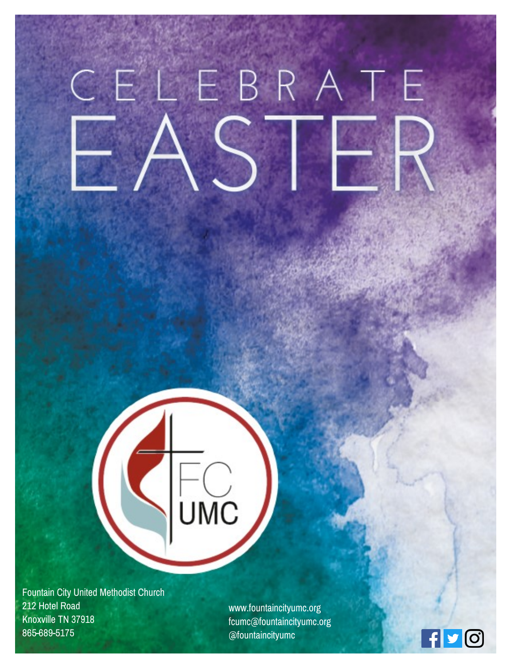# CELEBRATE

Fountain City United Methodist Church 212 Hotel Road Knoxville TN 37918 865-689-5175

www.fountaincityumc.org fcumc@fountaincityumc.org @fountaincityumc

JMC

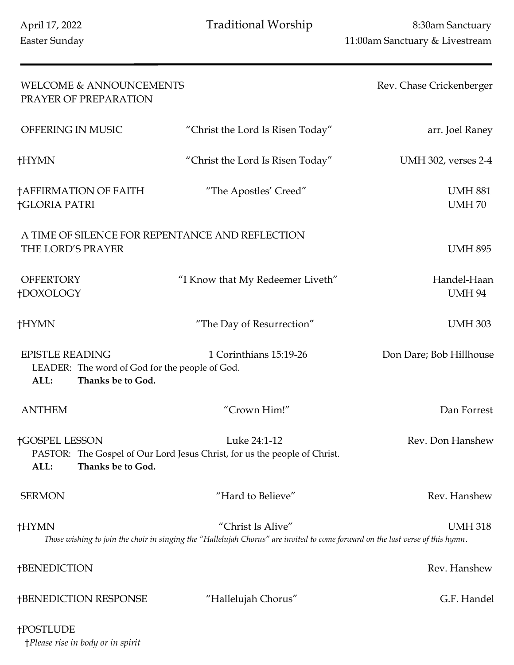| <b>WELCOME &amp; ANNOUNCEMENTS</b><br>PRAYER OF PREPARATION                                           |                                                                                                                                                     | Rev. Chase Crickenberger       |
|-------------------------------------------------------------------------------------------------------|-----------------------------------------------------------------------------------------------------------------------------------------------------|--------------------------------|
| OFFERING IN MUSIC                                                                                     | "Christ the Lord Is Risen Today"                                                                                                                    | arr. Joel Raney                |
| †HYMN                                                                                                 | "Christ the Lord Is Risen Today"                                                                                                                    | UMH 302, verses 2-4            |
| †AFFIRMATION OF FAITH<br><b>†GLORIA PATRI</b>                                                         | "The Apostles' Creed"                                                                                                                               | <b>UMH 881</b><br><b>UMH70</b> |
| A TIME OF SILENCE FOR REPENTANCE AND REFLECTION<br>THE LORD'S PRAYER                                  |                                                                                                                                                     | <b>UMH 895</b>                 |
| <b>OFFERTORY</b><br>†DOXOLOGY                                                                         | "I Know that My Redeemer Liveth"                                                                                                                    | Handel-Haan<br><b>UMH 94</b>   |
| †HYMN                                                                                                 | "The Day of Resurrection"                                                                                                                           | <b>UMH 303</b>                 |
| <b>EPISTLE READING</b><br>LEADER: The word of God for the people of God.<br>ALL:<br>Thanks be to God. | 1 Corinthians 15:19-26                                                                                                                              | Don Dare; Bob Hillhouse        |
| <b>ANTHEM</b>                                                                                         | "Crown Him!"                                                                                                                                        | Dan Forrest                    |
| <b>†GOSPEL LESSON</b><br>ALL:<br>Thanks be to God.                                                    | Luke 24:1-12<br>PASTOR: The Gospel of Our Lord Jesus Christ, for us the people of Christ.                                                           | Rev. Don Hanshew               |
| <b>SERMON</b>                                                                                         | "Hard to Believe"                                                                                                                                   | Rev. Hanshew                   |
| <b>†HYMN</b>                                                                                          | "Christ Is Alive"<br>Those wishing to join the choir in singing the "Hallelujah Chorus" are invited to come forward on the last verse of this hymn. | <b>UMH318</b>                  |
| †BENEDICTION                                                                                          |                                                                                                                                                     | Rev. Hanshew                   |
| <b>†BENEDICTION RESPONSE</b>                                                                          | "Hallelujah Chorus"                                                                                                                                 | G.F. Handel                    |
| <b>†POSTLUDE</b>                                                                                      |                                                                                                                                                     |                                |

†*Please rise in body or in spirit*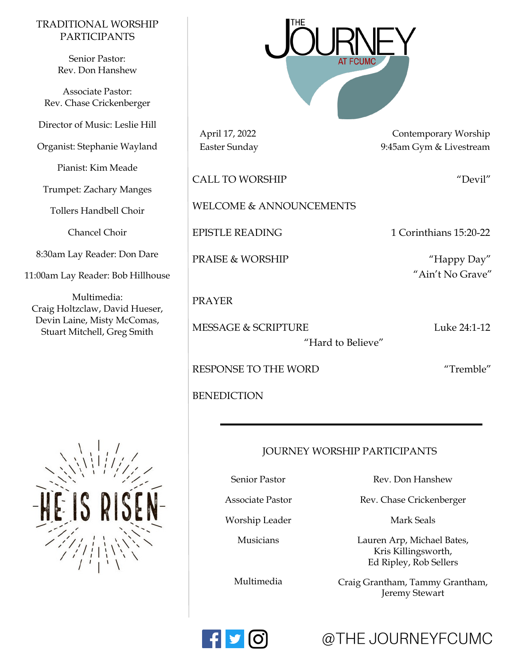#### TRADITIONAL WORSHIP PARTICIPANTS

Senior Pastor: Rev. Don Hanshew

Associate Pastor: Rev. Chase Crickenberger

Director of Music: Leslie Hill

Organist: Stephanie Wayland

Pianist: Kim Meade

Trumpet: Zachary Manges

Tollers Handbell Choir

Chancel Choir

8:30am Lay Reader: Don Dare

11:00am Lay Reader: Bob Hillhouse

Multimedia: Craig Holtzclaw, David Hueser, Devin Laine, Misty McComas, Stuart Mitchell, Greg Smith





April 17, 2022 Contemporary Worship Easter Sunday 9:45am Gym & Livestream

CALL TO WORSHIP "DEVIL"

WELCOME & ANNOUNCEMENTS

EPISTLE READING 1 Corinthians 15:20-22

PRAISE & WORSHIP "Happy Day"

#### PRAYER

MESSAGE & SCRIPTURE Luke 24:1-12

"Hard to Believe"

"Ain't No Grave"

RESPONSE TO THE WORD "Tremble"

BENEDICTION

#### JOURNEY WORSHIP PARTICIPANTS

Senior Pastor

Associate Pastor

Worship Leader

Musicians

Multimedia

Rev. Don Hanshew

Rev. Chase Crickenberger

Mark Seals

Lauren Arp, Michael Bates, Kris Killingsworth, Ed Ripley, Rob Sellers

Craig Grantham, Tammy Grantham, Jeremy Stewart